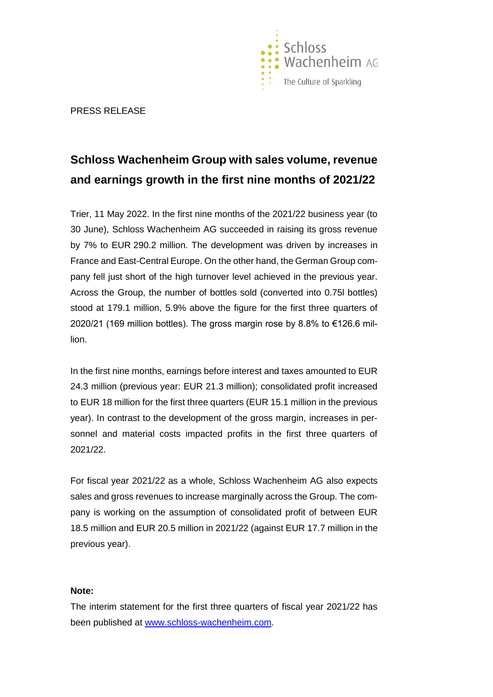

PRESS RELEASE

## **Schloss Wachenheim Group with sales volume, revenue and earnings growth in the first nine months of 2021/22**

Trier, 11 May 2022. In the first nine months of the 2021/22 business year (to 30 June), Schloss Wachenheim AG succeeded in raising its gross revenue by 7% to EUR 290.2 million. The development was driven by increases in France and East-Central Europe. On the other hand, the German Group company fell just short of the high turnover level achieved in the previous year. Across the Group, the number of bottles sold (converted into 0.75l bottles) stood at 179.1 million, 5.9% above the figure for the first three quarters of 2020/21 (169 million bottles). The gross margin rose by 8.8% to €126.6 million.

In the first nine months, earnings before interest and taxes amounted to EUR 24.3 million (previous year: EUR 21.3 million); consolidated profit increased to EUR 18 million for the first three quarters (EUR 15.1 million in the previous year). In contrast to the development of the gross margin, increases in personnel and material costs impacted profits in the first three quarters of 2021/22.

For fiscal year 2021/22 as a whole, Schloss Wachenheim AG also expects sales and gross revenues to increase marginally across the Group. The company is working on the assumption of consolidated profit of between EUR 18.5 million and EUR 20.5 million in 2021/22 (against EUR 17.7 million in the previous year).

## **Note:**

The interim statement for the first three quarters of fiscal year 2021/22 has been published at [www.schloss-wachenheim.com.](http://www.schloss-wachenheim.com/)